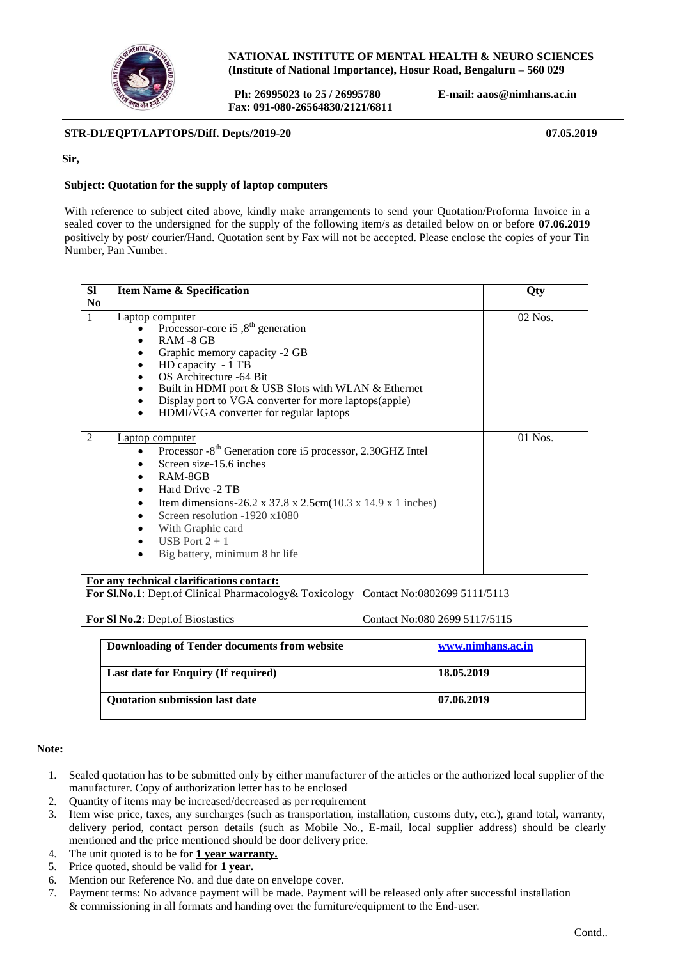

**NATIONAL INSTITUTE OF MENTAL HEALTH & NEURO SCIENCES (Institute of National Importance), Hosur Road, Bengaluru – 560 029**

**Ph: 26995023 to 25 / 26995780 E-mail: [aaos@nimhans.ac.in](mailto:aaos@nimhans.ac.in) Fax: 091-080-26564830/2121/6811**

# **STR-D1/EQPT/LAPTOPS/Diff. Depts/2019-20 07.05.2019**

## **Sir,**

## **Subject: Quotation for the supply of laptop computers**

With reference to subject cited above, kindly make arrangements to send your Quotation/Proforma Invoice in a sealed cover to the undersigned for the supply of the following item/s as detailed below on or before **07.06.2019** positively by post/ courier/Hand. Quotation sent by Fax will not be accepted. Please enclose the copies of your Tin Number, Pan Number.

| <b>SI</b><br>N <sub>0</sub>                                                                                                       | <b>Item Name &amp; Specification</b>                                                                                                                                                                                                                                                                                                                     | Qty       |  |
|-----------------------------------------------------------------------------------------------------------------------------------|----------------------------------------------------------------------------------------------------------------------------------------------------------------------------------------------------------------------------------------------------------------------------------------------------------------------------------------------------------|-----------|--|
| $\mathbf{1}$                                                                                                                      | Laptop computer<br>Processor-core i5,8 <sup>th</sup> generation<br>$RAM - 8 GB$<br>Graphic memory capacity -2 GB<br>HD capacity - 1 TB<br>OS Architecture -64 Bit<br>$\bullet$<br>Built in HDMI port & USB Slots with WLAN & Ethernet<br>Display port to VGA converter for more laptops(apple)<br>$\bullet$<br>HDMI/VGA converter for regular laptops    | $02$ Nos. |  |
| $\mathcal{L}$                                                                                                                     | Laptop computer<br>Processor -8 <sup>th</sup> Generation core i5 processor, 2.30GHZ Intel<br>Screen size-15.6 inches<br>RAM-8GB<br>$\bullet$<br>Hard Drive -2 TB<br>$\bullet$<br>Item dimensions-26.2 x 37.8 x 2.5cm(10.3 x 14.9 x 1 inches)<br>Screen resolution -1920 x1080<br>With Graphic card<br>USB Port $2 + 1$<br>Big battery, minimum 8 hr life | $01$ Nos. |  |
| For any technical clarifications contact:<br>For Sl.No.1: Dept.of Clinical Pharmacology & Toxicology Contact No:0802699 5111/5113 |                                                                                                                                                                                                                                                                                                                                                          |           |  |
|                                                                                                                                   | Contact No:080 2699 5117/5115<br>For SI No.2: Dept.of Biostastics                                                                                                                                                                                                                                                                                        |           |  |

| Downloading of Tender documents from website | www.nimhans.ac.in |
|----------------------------------------------|-------------------|
| Last date for Enquiry (If required)          | 18.05.2019        |
| <b>Quotation submission last date</b>        | 07.06.2019        |

## **Note:**

- 1. Sealed quotation has to be submitted only by either manufacturer of the articles or the authorized local supplier of the manufacturer. Copy of authorization letter has to be enclosed
- 2. Quantity of items may be increased/decreased as per requirement
- 3. Item wise price, taxes, any surcharges (such as transportation, installation, customs duty, etc.), grand total, warranty, delivery period, contact person details (such as Mobile No., E-mail, local supplier address) should be clearly mentioned and the price mentioned should be door delivery price.
- 4. The unit quoted is to be for **1 year warranty.**
- 5. Price quoted, should be valid for **1 year.**
- 6. Mention our Reference No. and due date on envelope cover.
- 7. Payment terms: No advance payment will be made. Payment will be released only after successful installation & commissioning in all formats and handing over the furniture/equipment to the End-user.